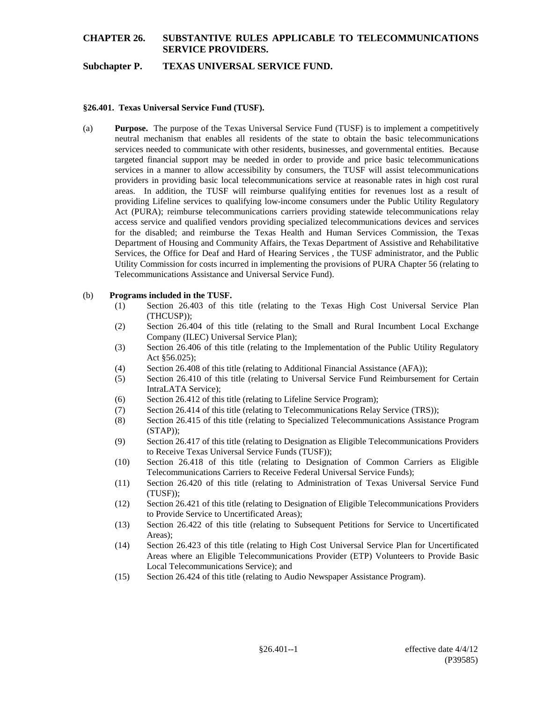# **CHAPTER 26. SUBSTANTIVE RULES APPLICABLE TO TELECOMMUNICATIONS SERVICE PROVIDERS.**

## **Subchapter P. TEXAS UNIVERSAL SERVICE FUND.**

#### **§26.401. Texas Universal Service Fund (TUSF).**

(a) **Purpose.** The purpose of the Texas Universal Service Fund (TUSF) is to implement a competitively neutral mechanism that enables all residents of the state to obtain the basic telecommunications services needed to communicate with other residents, businesses, and governmental entities. Because targeted financial support may be needed in order to provide and price basic telecommunications services in a manner to allow accessibility by consumers, the TUSF will assist telecommunications providers in providing basic local telecommunications service at reasonable rates in high cost rural areas. In addition, the TUSF will reimburse qualifying entities for revenues lost as a result of providing Lifeline services to qualifying low-income consumers under the Public Utility Regulatory Act (PURA); reimburse telecommunications carriers providing statewide telecommunications relay access service and qualified vendors providing specialized telecommunications devices and services for the disabled; and reimburse the Texas Health and Human Services Commission, the Texas Department of Housing and Community Affairs, the Texas Department of Assistive and Rehabilitative Services, the Office for Deaf and Hard of Hearing Services , the TUSF administrator, and the Public Utility Commission for costs incurred in implementing the provisions of PURA Chapter 56 (relating to Telecommunications Assistance and Universal Service Fund).

#### (b) **Programs included in the TUSF.**

- (1) Section 26.403 of this title (relating to the Texas High Cost Universal Service Plan (THCUSP));
- (2) Section 26.404 of this title (relating to the Small and Rural Incumbent Local Exchange Company (ILEC) Universal Service Plan);
- (3) Section 26.406 of this title (relating to the Implementation of the Public Utility Regulatory Act §56.025);
- (4) Section 26.408 of this title (relating to Additional Financial Assistance (AFA));
- (5) Section 26.410 of this title (relating to Universal Service Fund Reimbursement for Certain IntraLATA Service);
- (6) Section 26.412 of this title (relating to Lifeline Service Program);
- (7) Section 26.414 of this title (relating to Telecommunications Relay Service (TRS));
- (8) Section 26.415 of this title (relating to Specialized Telecommunications Assistance Program  $(STAP)$ :
- (9) Section 26.417 of this title (relating to Designation as Eligible Telecommunications Providers to Receive Texas Universal Service Funds (TUSF));
- (10) Section 26.418 of this title (relating to Designation of Common Carriers as Eligible Telecommunications Carriers to Receive Federal Universal Service Funds);
- (11) Section 26.420 of this title (relating to Administration of Texas Universal Service Fund (TUSF));
- (12) Section 26.421 of this title (relating to Designation of Eligible Telecommunications Providers to Provide Service to Uncertificated Areas);
- (13) Section 26.422 of this title (relating to Subsequent Petitions for Service to Uncertificated Areas);
- (14) Section 26.423 of this title (relating to High Cost Universal Service Plan for Uncertificated Areas where an Eligible Telecommunications Provider (ETP) Volunteers to Provide Basic Local Telecommunications Service); and
- (15) Section 26.424 of this title (relating to Audio Newspaper Assistance Program).